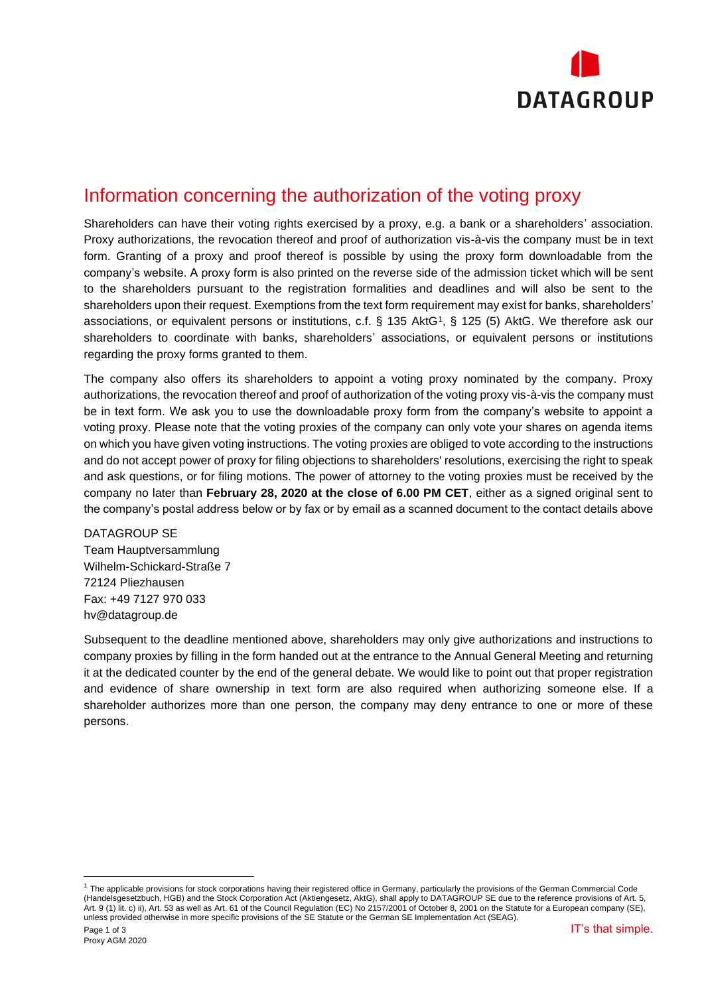

## Information concerning the authorization of the voting proxy

Shareholders can have their voting rights exercised by a proxy, e.g. a bank or a shareholders' association. Proxy authorizations, the revocation thereof and proof of authorization vis-à-vis the company must be in text form. Granting of a proxy and proof thereof is possible by using the proxy form downloadable from the company's website. A proxy form is also printed on the reverse side of the admission ticket which will be sent to the shareholders pursuant to the registration formalities and deadlines and will also be sent to the shareholders upon their request. Exemptions from the text form requirement may exist for banks, shareholders' associations, or equivalent persons or institutions, c.f. § 135 AktG<sup>1</sup> , § 125 (5) AktG. We therefore ask our shareholders to coordinate with banks, shareholders' associations, or equivalent persons or institutions regarding the proxy forms granted to them.

The company also offers its shareholders to appoint a voting proxy nominated by the company. Proxy authorizations, the revocation thereof and proof of authorization of the voting proxy vis-à-vis the company must be in text form. We ask you to use the downloadable proxy form from the company's website to appoint a voting proxy. Please note that the voting proxies of the company can only vote your shares on agenda items on which you have given voting instructions. The voting proxies are obliged to vote according to the instructions and do not accept power of proxy for filing objections to shareholders' resolutions, exercising the right to speak and ask questions, or for filing motions. The power of attorney to the voting proxies must be received by the company no later than **February 28, 2020 at the close of 6.00 PM CET**, either as a signed original sent to the company's postal address below or by fax or by email as a scanned document to the contact details above

DATAGROUP SE Team Hauptversammlung Wilhelm-Schickard-Straße 7 72124 Pliezhausen Fax: +49 7127 970 033 hv@datagroup.de

Subsequent to the deadline mentioned above, shareholders may only give authorizations and instructions to company proxies by filling in the form handed out at the entrance to the Annual General Meeting and returning it at the dedicated counter by the end of the general debate. We would like to point out that proper registration and evidence of share ownership in text form are also required when authorizing someone else. If a shareholder authorizes more than one person, the company may deny entrance to one or more of these persons.

 $1$  The applicable provisions for stock corporations having their registered office in Germany, particularly the provisions of the German Commercial Code (Handelsgesetzbuch, HGB) and the Stock Corporation Act (Aktiengesetz, AktG), shall apply to DATAGROUP SE due to the reference provisions of Art. 5, Art. 9 (1) lit. c) ii), Art. 53 as well as Art. 61 of the Council Regulation (EC) No 2157/2001 of October 8, 2001 on the Statute for a European company (SE), unless provided otherwise in more specific provisions of the SE Statute or the German SE Implementation Act (SEAG).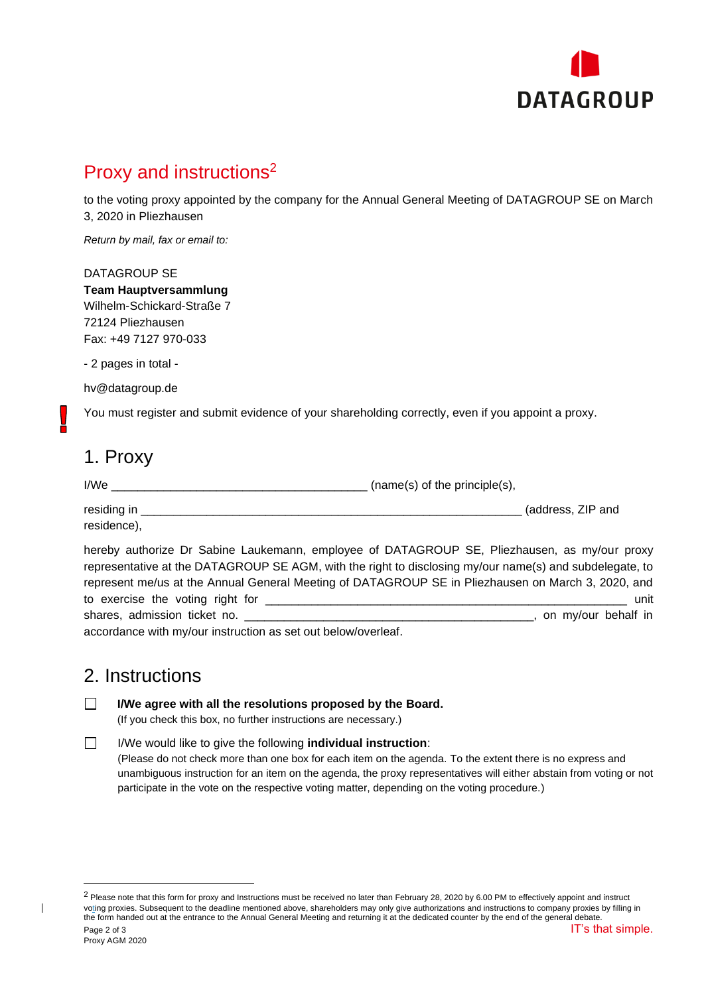

# Proxy and instructions<sup>2</sup>

to the voting proxy appointed by the company for the Annual General Meeting of DATAGROUP SE on March 3, 2020 in Pliezhausen

*Return by mail, fax or email to:*

#### DATAGROUP SE

**Team Hauptversammlung** Wilhelm-Schickard-Straße 7 72124 Pliezhausen Fax: +49 7127 970-033

- 2 pages in total -

hv@datagroup.de

You must register and submit evidence of your shareholding correctly, even if you appoint a proxy.

### 1. Proxy

 $I/We$   $\qquad \qquad$  (name(s) of the principle(s),

| residing in | (address, ZIP and |  |
|-------------|-------------------|--|
| residence), |                   |  |

hereby authorize Dr Sabine Laukemann, employee of DATAGROUP SE, Pliezhausen, as my/our proxy representative at the DATAGROUP SE AGM, with the right to disclosing my/our name(s) and subdelegate, to represent me/us at the Annual General Meeting of DATAGROUP SE in Pliezhausen on March 3, 2020, and to exercise the voting right for \_\_\_\_\_\_\_\_\_\_\_\_\_\_\_\_\_\_\_\_\_\_\_\_\_\_\_\_\_\_\_\_\_\_\_\_\_\_\_\_\_\_\_\_\_\_\_\_\_\_\_\_\_\_\_ unit shares, admission ticket no. etc. and the shares, admission ticket no.

accordance with my/our instruction as set out below/overleaf.

### 2. Instructions

**I/We agree with all the resolutions proposed by the Board.**  $\Box$ 

(If you check this box, no further instructions are necessary.)

#### $\Box$ I/We would like to give the following **individual instruction**: (Please do not check more than one box for each item on the agenda. To the extent there is no express and unambiguous instruction for an item on the agenda, the proxy representatives will either abstain from voting or not participate in the vote on the respective voting matter, depending on the voting procedure.)

 $\overline{\phantom{a}}$ 

Page 2 of 3 IT's that simple.  $2$  Please note that this form for proxy and Instructions must be received no later than February 28, 2020 by 6.00 PM to effectively appoint and instruct voting proxies. Subsequent to the deadline mentioned above, shareholders may only give authorizations and instructions to company proxies by filling in the form handed out at the entrance to the Annual General Meeting and returning it at the dedicated counter by the end of the general debate.